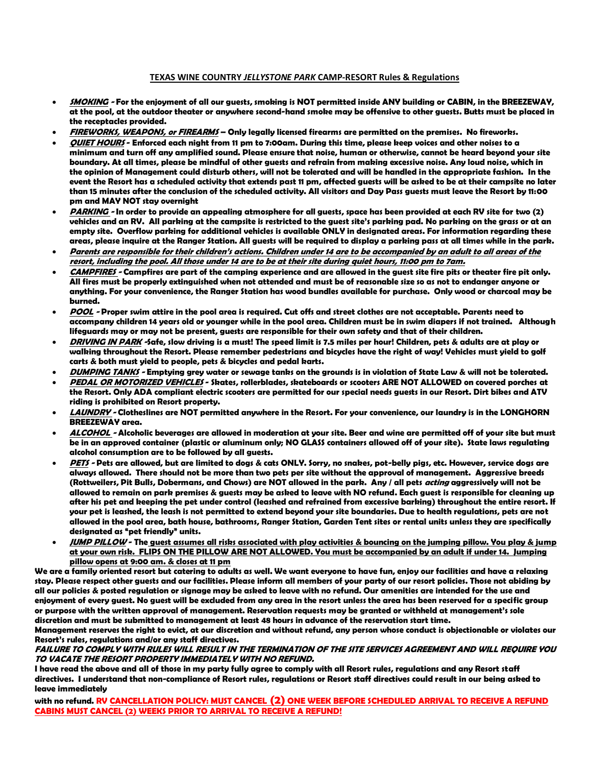## **TEXAS WINE COUNTRY** *JELLYSTONE PARK* **CAMP-RESORT Rules & Regulations**

- **SMOKING - For the enjoyment of all our guests, smoking is NOT permitted inside ANY building or CABIN, in the BREEZEWAY, at the pool, at the outdoor theater or anywhere second-hand smoke may be offensive to other guests. Butts must be placed in the receptacles provided.**
- **FIREWORKS, WEAPONS, or FIREARMS – Only legally licensed firearms are permitted on the premises. No fireworks.**
- **QUIET HOURS - Enforced each night from 11 pm to 7:00am. During this time, please keep voices and other noises to a minimum and turn off any amplified sound. Please ensure that noise, human or otherwise, cannot be heard beyond your site boundary. At all times, please be mindful of other guests and refrain from making excessive noise. Any loud noise, which in the opinion of Management could disturb others, will not be tolerated and will be handled in the appropriate fashion. In the event the Resort has a scheduled activity that extends past 11 pm, affected guests will be asked to be at their campsite no later than 15 minutes after the conclusion of the scheduled activity. All visitors and Day Pass guests must leave the Resort by 11:00 pm and MAY NOT stay overnight**
- **PARKING - In order to provide an appealing atmosphere for all guests, space has been provided at each RV site for two (2) vehicles and an RV. All parking at the campsite is restricted to the guest site's parking pad. No parking on the grass or at an empty site. Overflow parking for additional vehicles is available ONLY in designated areas. For information regarding these areas, please inquire at the Ranger Station. All guests will be required to display a parking pass at all times while in the park.**
- **Parents are responsible for their children's actions. Children under 14 are to be accompanied by an adult to all areas of the resort, including the pool. All those under 14 are to be at their site during quiet hours, 11:00 pm to 7am.**
- **CAMPFIRES - Campfires are part of the camping experience and are allowed in the guest site fire pits or theater fire pit only. All fires must be properly extinguished when not attended and must be of reasonable size so as not to endanger anyone or anything. For your convenience, the Ranger Station has wood bundles available for purchase. Only wood or charcoal may be burned.**
- **POOL - Proper swim attire in the pool area is required. Cut offs and street clothes are not acceptable. Parents need to accompany children 14 years old or younger while in the pool area. Children must be in swim diapers if not trained. Although lifeguards may or may not be present, guests are responsible for their own safety and that of their children.**
- **DRIVING IN PARK -Safe, slow driving is a must! The speed limit is 7.5 miles per hour! Children, pets & adults are at play or walking throughout the Resort. Please remember pedestrians and bicycles have the right of way! Vehicles must yield to golf carts & both must yield to people, pets & bicycles and pedal karts.**
- **DUMPING TANKS - Emptying grey water or sewage tanks on the grounds is in violation of State Law & will not be tolerated.**
- **PEDAL OR MOTORIZED VEHICLES - Skates, rollerblades, skateboards or scooters ARE NOT ALLOWED on covered porches at the Resort. Only ADA compliant electric scooters are permitted for our special needs guests in our Resort. Dirt bikes and ATV riding is prohibited on Resort property.**
- **LAUNDRY - Clotheslines are NOT permitted anywhere in the Resort. For your convenience, our laundry is in the LONGHORN BREEZEWAY area.**
- **ALCOHOL - Alcoholic beverages are allowed in moderation at your site. Beer and wine are permitted off of your site but must be in an approved container (plastic or aluminum only; NO GLASS containers allowed off of your site). State laws regulating alcohol consumption are to be followed by all guests.**
- **PETS - Pets are allowed, but are limited to dogs & cats ONLY. Sorry, no snakes, pot-belly pigs, etc. However, service dogs are always allowed. There should not be more than two pets per site without the approval of management. Aggressive breeds (Rottweilers, Pit Bulls, Dobermans, and Chows) are NOT allowed in the park. Any / all pets acting aggressively will not be allowed to remain on park premises & guests may be asked to leave with NO refund. Each guest is responsible for cleaning up after his pet and keeping the pet under control (leashed and refrained from excessive barking) throughout the entire resort. If your pet is leashed, the leash is not permitted to extend beyond your site boundaries. Due to health regulations, pets are not allowed in the pool area, bath house, bathrooms, Ranger Station, Garden Tent sites or rental units unless they are specifically designated as "pet friendly" units.**
- **JUMP PILLOW - The guest assumes all risks associated with play activities & bouncing on the jumping pillow. You play & jump at your own risk. FLIPS ON THE PILLOW ARE NOT ALLOWED. You must be accompanied by an adult if under 14. Jumping pillow opens at 9:00 am. & closes at 11 pm**

**We are a family oriented resort but catering to adults as well. We want everyone to have fun, enjoy our facilities and have a relaxing stay. Please respect other guests and our facilities. Please inform all members of your party of our resort policies. Those not abiding by all our policies & posted regulation or signage may be asked to leave with no refund. Our amenities are intended for the use and enjoyment of every guest. No guest will be excluded from any area in the resort unless the area has been reserved for a specific group or purpose with the written approval of management. Reservation requests may be granted or withheld at management's sole discretion and must be submitted to management at least 48 hours in advance of the reservation start time.**

**Management reserves the right to evict, at our discretion and without refund, any person whose conduct is objectionable or violates our Resort's rules, regulations and/or any staff directives.**

## **FAILURE TO COMPLY WITH RULES WILL RESULT IN THE TERMINATION OF THE SITE SERVICES AGREEMENT AND WILL REQUIRE YOU TO VACATE THE RESORT PROPERTY IMMEDIATELY WITH NO REFUND.**

**I have read the above and all of those in my party fully agree to comply with all Resort rules, regulations and any Resort staff directives. I understand that non-compliance of Resort rules, regulations or Resort staff directives could result in our being asked to leave immediately**

**with no refund. RV CANCELLATION POLICY: MUST CANCEL (2) ONE WEEK BEFORE SCHEDULED ARRIVAL TO RECEIVE A REFUND CABINS MUST CANCEL (2) WEEKS PRIOR TO ARRIVAL TO RECEIVE A REFUND!**